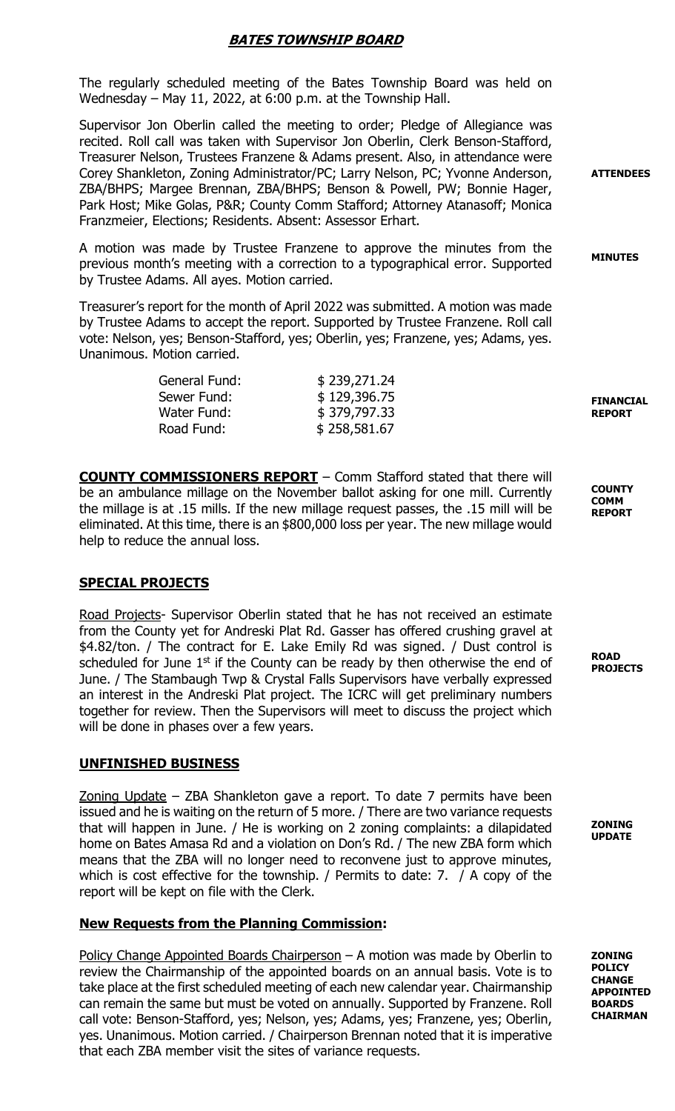# BATES TOWNSHIP BOARD

The regularly scheduled meeting of the Bates Township Board was held on Wednesday – May 11, 2022, at 6:00 p.m. at the Township Hall.

Supervisor Jon Oberlin called the meeting to order; Pledge of Allegiance was recited. Roll call was taken with Supervisor Jon Oberlin, Clerk Benson-Stafford, Treasurer Nelson, Trustees Franzene & Adams present. Also, in attendance were Corey Shankleton, Zoning Administrator/PC; Larry Nelson, PC; Yvonne Anderson, ZBA/BHPS; Margee Brennan, ZBA/BHPS; Benson & Powell, PW; Bonnie Hager, Park Host; Mike Golas, P&R; County Comm Stafford; Attorney Atanasoff; Monica Franzmeier, Elections; Residents. Absent: Assessor Erhart.

A motion was made by Trustee Franzene to approve the minutes from the previous month's meeting with a correction to a typographical error. Supported by Trustee Adams. All ayes. Motion carried.

Treasurer's report for the month of April 2022 was submitted. A motion was made by Trustee Adams to accept the report. Supported by Trustee Franzene. Roll call vote: Nelson, yes; Benson-Stafford, yes; Oberlin, yes; Franzene, yes; Adams, yes. Unanimous. Motion carried.

| General Fund: | \$239,271.24 |
|---------------|--------------|
| Sewer Fund:   | \$129,396.75 |
| Water Fund:   | \$379,797.33 |
| Road Fund:    | \$258,581.67 |

COUNTY COMMISSIONERS REPORT – Comm Stafford stated that there will be an ambulance millage on the November ballot asking for one mill. Currently the millage is at .15 mills. If the new millage request passes, the .15 mill will be eliminated. At this time, there is an \$800,000 loss per year. The new millage would help to reduce the annual loss.

### SPECIAL PROJECTS

Road Projects- Supervisor Oberlin stated that he has not received an estimate from the County yet for Andreski Plat Rd. Gasser has offered crushing gravel at \$4.82/ton. / The contract for E. Lake Emily Rd was signed. / Dust control is scheduled for June  $1<sup>st</sup>$  if the County can be ready by then otherwise the end of June. / The Stambaugh Twp & Crystal Falls Supervisors have verbally expressed an interest in the Andreski Plat project. The ICRC will get preliminary numbers together for review. Then the Supervisors will meet to discuss the project which will be done in phases over a few years.

#### UNFINISHED BUSINESS

Zoning Update – ZBA Shankleton gave a report. To date 7 permits have been issued and he is waiting on the return of 5 more. / There are two variance requests that will happen in June. / He is working on 2 zoning complaints: a dilapidated home on Bates Amasa Rd and a violation on Don's Rd. / The new ZBA form which means that the ZBA will no longer need to reconvene just to approve minutes, which is cost effective for the township. / Permits to date: 7. / A copy of the report will be kept on file with the Clerk.

### New Requests from the Planning Commission:

Policy Change Appointed Boards Chairperson - A motion was made by Oberlin to review the Chairmanship of the appointed boards on an annual basis. Vote is to take place at the first scheduled meeting of each new calendar year. Chairmanship can remain the same but must be voted on annually. Supported by Franzene. Roll call vote: Benson-Stafford, yes; Nelson, yes; Adams, yes; Franzene, yes; Oberlin, yes. Unanimous. Motion carried. / Chairperson Brennan noted that it is imperative that each ZBA member visit the sites of variance requests.

ZONING POLICY **CHANGE** APPOINTED **BOARDS** CHAIRMAN

ATTENDEES

MINUTES

FINANCIAL REPORT

**COUNTY** COMM REPORT

ROAD PROJECTS

ZONING UPDATE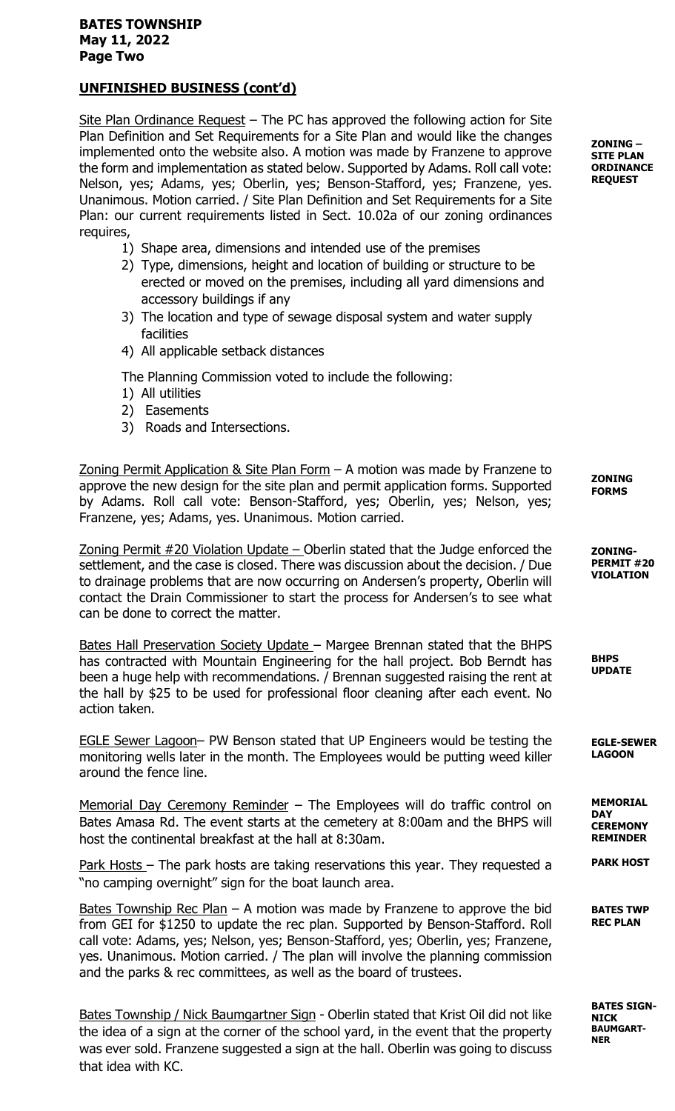# UNFINISHED BUSINESS (cont'd)

Site Plan Ordinance Request - The PC has approved the following action for Site Plan Definition and Set Requirements for a Site Plan and would like the changes implemented onto the website also. A motion was made by Franzene to approve the form and implementation as stated below. Supported by Adams. Roll call vote: Nelson, yes; Adams, yes; Oberlin, yes; Benson-Stafford, yes; Franzene, yes. Unanimous. Motion carried. / Site Plan Definition and Set Requirements for a Site Plan: our current requirements listed in Sect. 10.02a of our zoning ordinances requires,

- 1) Shape area, dimensions and intended use of the premises
- 2) Type, dimensions, height and location of building or structure to be erected or moved on the premises, including all yard dimensions and accessory buildings if any
- 3) The location and type of sewage disposal system and water supply facilities
- 4) All applicable setback distances

The Planning Commission voted to include the following:

- 1) All utilities
- 2) Easements
- 3) Roads and Intersections.

Zoning Permit Application & Site Plan Form – A motion was made by Franzene to approve the new design for the site plan and permit application forms. Supported by Adams. Roll call vote: Benson-Stafford, yes; Oberlin, yes; Nelson, yes; Franzene, yes; Adams, yes. Unanimous. Motion carried.

Zoning Permit  $#20$  Violation Update – Oberlin stated that the Judge enforced the settlement, and the case is closed. There was discussion about the decision. / Due to drainage problems that are now occurring on Andersen's property, Oberlin will contact the Drain Commissioner to start the process for Andersen's to see what can be done to correct the matter.

Bates Hall Preservation Society Update - Margee Brennan stated that the BHPS has contracted with Mountain Engineering for the hall project. Bob Berndt has been a huge help with recommendations. / Brennan suggested raising the rent at the hall by \$25 to be used for professional floor cleaning after each event. No action taken.

EGLE Sewer Lagoon– PW Benson stated that UP Engineers would be testing the monitoring wells later in the month. The Employees would be putting weed killer around the fence line.

Memorial Day Ceremony Reminder - The Employees will do traffic control on Bates Amasa Rd. The event starts at the cemetery at 8:00am and the BHPS will host the continental breakfast at the hall at 8:30am.

Park Hosts – The park hosts are taking reservations this year. They requested a "no camping overnight" sign for the boat launch area.

Bates Township Rec Plan  $-$  A motion was made by Franzene to approve the bid from GEI for \$1250 to update the rec plan. Supported by Benson-Stafford. Roll call vote: Adams, yes; Nelson, yes; Benson-Stafford, yes; Oberlin, yes; Franzene, yes. Unanimous. Motion carried. / The plan will involve the planning commission and the parks & rec committees, as well as the board of trustees.

Bates Township / Nick Baumgartner Sign - Oberlin stated that Krist Oil did not like the idea of a sign at the corner of the school yard, in the event that the property was ever sold. Franzene suggested a sign at the hall. Oberlin was going to discuss that idea with KC.

ZONING – SITE PLAN **ORDINANCE REQUEST** 

ZONING FORMS

ZONING-PERMIT #20 VIOLATION

BHPS UPDATE

EGLE-SEWER LAGOON

MEMORIAL **DAY CEREMONY** REMINDER

PARK HOST

BATES TWP REC PLAN

BATES SIGN-NICK BAUMGART-NER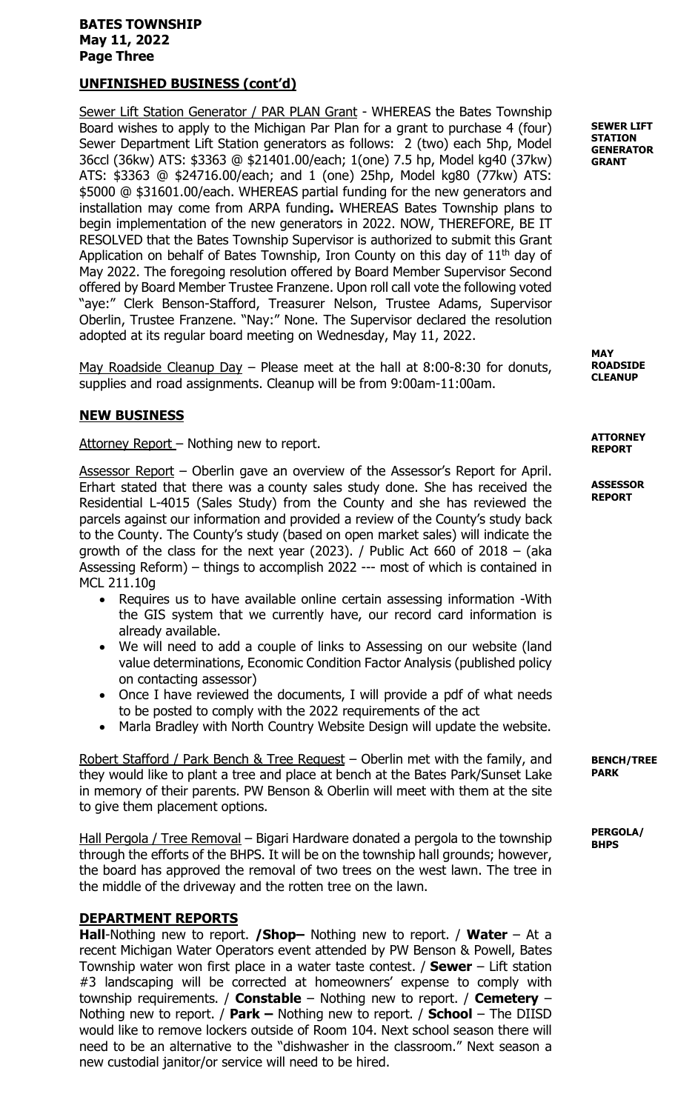### BATES TOWNSHIP May 11, 2022 Page Three

## UNFINISHED BUSINESS (cont'd)

Sewer Lift Station Generator / PAR PLAN Grant - WHEREAS the Bates Township Board wishes to apply to the Michigan Par Plan for a grant to purchase 4 (four) Sewer Department Lift Station generators as follows: 2 (two) each 5hp, Model 36ccl (36kw) ATS: \$3363 @ \$21401.00/each; 1(one) 7.5 hp, Model kg40 (37kw) ATS: \$3363 @ \$24716.00/each; and 1 (one) 25hp, Model kg80 (77kw) ATS: \$5000 @ \$31601.00/each. WHEREAS partial funding for the new generators and installation may come from ARPA funding. WHEREAS Bates Township plans to begin implementation of the new generators in 2022. NOW, THEREFORE, BE IT RESOLVED that the Bates Township Supervisor is authorized to submit this Grant Application on behalf of Bates Township, Iron County on this day of  $11<sup>th</sup>$  day of May 2022. The foregoing resolution offered by Board Member Supervisor Second offered by Board Member Trustee Franzene. Upon roll call vote the following voted "aye:" Clerk Benson-Stafford, Treasurer Nelson, Trustee Adams, Supervisor Oberlin, Trustee Franzene. "Nay:" None. The Supervisor declared the resolution adopted at its regular board meeting on Wednesday, May 11, 2022.

May Roadside Cleanup Day – Please meet at the hall at 8:00-8:30 for donuts, supplies and road assignments. Cleanup will be from 9:00am-11:00am.

### NEW BUSINESS

Attorney Report - Nothing new to report.

Assessor Report – Oberlin gave an overview of the Assessor's Report for April. Erhart stated that there was a county sales study done. She has received the Residential L-4015 (Sales Study) from the County and she has reviewed the parcels against our information and provided a review of the County's study back to the County. The County's study (based on open market sales) will indicate the growth of the class for the next year (2023). / Public Act 660 of 2018  $-$  (aka Assessing Reform) – things to accomplish 2022 --- most of which is contained in MCL 211.10g

- Requires us to have available online certain assessing information -With the GIS system that we currently have, our record card information is already available.
- We will need to add a couple of links to Assessing on our website (land value determinations, Economic Condition Factor Analysis (published policy on contacting assessor)
- Once I have reviewed the documents, I will provide a pdf of what needs to be posted to comply with the 2022 requirements of the act
- Marla Bradley with North Country Website Design will update the website.

Robert Stafford / Park Bench & Tree Request – Oberlin met with the family, and they would like to plant a tree and place at bench at the Bates Park/Sunset Lake in memory of their parents. PW Benson & Oberlin will meet with them at the site to give them placement options.

Hall Pergola / Tree Removal – Bigari Hardware donated a pergola to the township through the efforts of the BHPS. It will be on the township hall grounds; however, the board has approved the removal of two trees on the west lawn. The tree in the middle of the driveway and the rotten tree on the lawn.

### DEPARTMENT REPORTS

Hall-Nothing new to report. **/Shop-** Nothing new to report. **/ Water** – At a recent Michigan Water Operators event attended by PW Benson & Powell, Bates Township water won first place in a water taste contest.  $/$  Sewer  $-$  Lift station #3 landscaping will be corrected at homeowners' expense to comply with township requirements. / Constable – Nothing new to report. / Cemetery – Nothing new to report. / Park – Nothing new to report. / School – The DIISD would like to remove lockers outside of Room 104. Next school season there will need to be an alternative to the "dishwasher in the classroom." Next season a new custodial janitor/or service will need to be hired.

SEWER LIFT **STATION GENERATOR** GRANT

**MAY** ROADSIDE **CLEANUP** 

**ATTORNEY** REPORT

**ASSESSOR** REPORT

BENCH/TREE PARK

PERGOLA/ **BHPS**